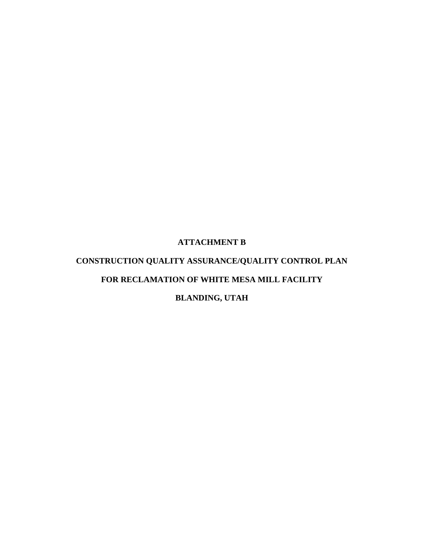## **ATTACHMENT B**

# **CONSTRUCTION QUALITY ASSURANCE/QUALITY CONTROL PLAN FOR RECLAMATION OF WHITE MESA MILL FACILITY**

# **BLANDING, UTAH**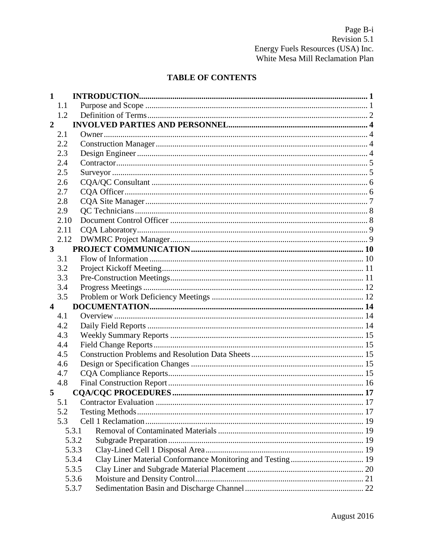# **TABLE OF CONTENTS**

| 1                       |       |  |
|-------------------------|-------|--|
|                         | 1.1   |  |
|                         | 1.2   |  |
| $\overline{2}$          |       |  |
|                         | 2.1   |  |
|                         | 2.2   |  |
|                         | 2.3   |  |
|                         | 2.4   |  |
|                         | 2.5   |  |
|                         | 2.6   |  |
|                         | 2.7   |  |
|                         | 2.8   |  |
|                         | 2.9   |  |
|                         | 2.10  |  |
|                         | 2.11  |  |
|                         | 2.12  |  |
| $\mathbf{3}$            |       |  |
|                         | 3.1   |  |
|                         | 3.2   |  |
|                         | 3.3   |  |
|                         | 3.4   |  |
|                         | 3.5   |  |
| $\overline{\mathbf{4}}$ |       |  |
|                         | 4.1   |  |
|                         | 4.2   |  |
|                         | 4.3   |  |
|                         | 4.4   |  |
|                         | 4.5   |  |
|                         | 4.6   |  |
|                         | 4.7   |  |
|                         | 4.8   |  |
| 5                       |       |  |
|                         | 5.1   |  |
|                         | 5.2   |  |
|                         | 5.3   |  |
|                         | 5.3.1 |  |
|                         | 5.3.2 |  |
|                         | 5.3.3 |  |
|                         | 5.3.4 |  |
|                         | 5.3.5 |  |
|                         | 5.3.6 |  |
|                         | 5.3.7 |  |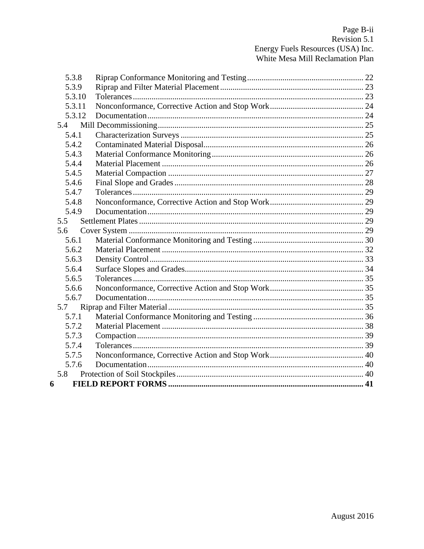|   | 5.3.8  |  |
|---|--------|--|
|   | 5.3.9  |  |
|   | 5.3.10 |  |
|   | 5.3.11 |  |
|   | 5.3.12 |  |
|   | 5.4    |  |
|   | 5.4.1  |  |
|   | 5.4.2  |  |
|   | 5.4.3  |  |
|   | 5.4.4  |  |
|   | 5.4.5  |  |
|   | 5.4.6  |  |
|   | 5.4.7  |  |
|   | 5.4.8  |  |
|   | 5.4.9  |  |
|   | 5.5    |  |
|   | 5.6    |  |
|   | 5.6.1  |  |
|   | 5.6.2  |  |
|   | 5.6.3  |  |
|   | 5.6.4  |  |
|   | 5.6.5  |  |
|   | 5.6.6  |  |
|   | 5.6.7  |  |
|   | 5.7    |  |
|   | 5.7.1  |  |
|   | 5.7.2  |  |
|   | 5.7.3  |  |
|   | 5.7.4  |  |
|   | 5.7.5  |  |
|   | 5.7.6  |  |
|   | 5.8    |  |
| 6 |        |  |
|   |        |  |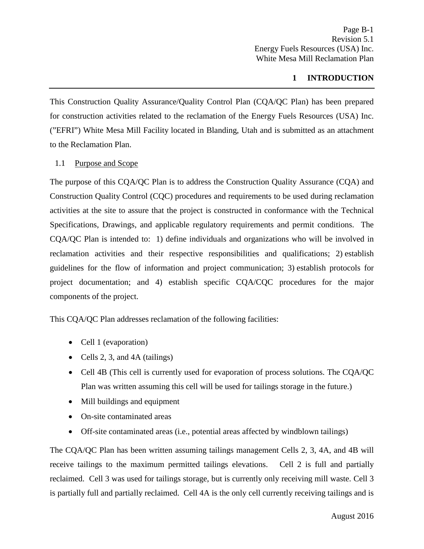## **1 INTRODUCTION**

<span id="page-3-0"></span>This Construction Quality Assurance/Quality Control Plan (CQA/QC Plan) has been prepared for construction activities related to the reclamation of the Energy Fuels Resources (USA) Inc. ("EFRI") White Mesa Mill Facility located in Blanding, Utah and is submitted as an attachment to the Reclamation Plan.

#### <span id="page-3-1"></span>1.1 Purpose and Scope

The purpose of this CQA/QC Plan is to address the Construction Quality Assurance (CQA) and Construction Quality Control (CQC) procedures and requirements to be used during reclamation activities at the site to assure that the project is constructed in conformance with the Technical Specifications, Drawings, and applicable regulatory requirements and permit conditions. The CQA/QC Plan is intended to: 1) define individuals and organizations who will be involved in reclamation activities and their respective responsibilities and qualifications; 2) establish guidelines for the flow of information and project communication; 3) establish protocols for project documentation; and 4) establish specific CQA/CQC procedures for the major components of the project.

This CQA/QC Plan addresses reclamation of the following facilities:

- Cell 1 (evaporation)
- Cells 2, 3, and 4A (tailings)
- Cell 4B (This cell is currently used for evaporation of process solutions. The CQA/QC Plan was written assuming this cell will be used for tailings storage in the future.)
- Mill buildings and equipment
- On-site contaminated areas
- Off-site contaminated areas (i.e., potential areas affected by windblown tailings)

The CQA/QC Plan has been written assuming tailings management Cells 2, 3, 4A, and 4B will receive tailings to the maximum permitted tailings elevations. Cell 2 is full and partially reclaimed. Cell 3 was used for tailings storage, but is currently only receiving mill waste. Cell 3 is partially full and partially reclaimed. Cell 4A is the only cell currently receiving tailings and is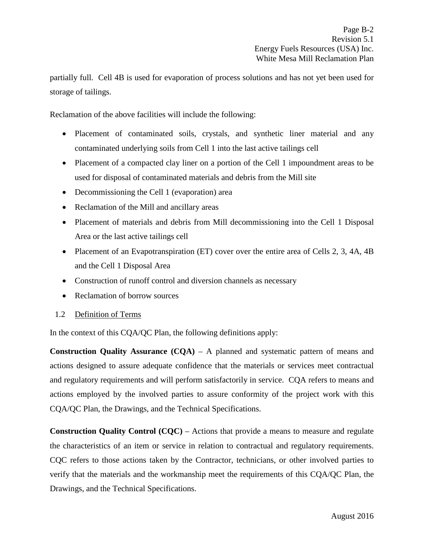partially full. Cell 4B is used for evaporation of process solutions and has not yet been used for storage of tailings.

Reclamation of the above facilities will include the following:

- Placement of contaminated soils, crystals, and synthetic liner material and any contaminated underlying soils from Cell 1 into the last active tailings cell
- Placement of a compacted clay liner on a portion of the Cell 1 impoundment areas to be used for disposal of contaminated materials and debris from the Mill site
- Decommissioning the Cell 1 (evaporation) area
- Reclamation of the Mill and ancillary areas
- Placement of materials and debris from Mill decommissioning into the Cell 1 Disposal Area or the last active tailings cell
- Placement of an Evapotranspiration (ET) cover over the entire area of Cells 2, 3, 4A, 4B and the Cell 1 Disposal Area
- Construction of runoff control and diversion channels as necessary
- Reclamation of borrow sources
- <span id="page-4-0"></span>1.2 Definition of Terms

In the context of this CQA/QC Plan, the following definitions apply:

**Construction Quality Assurance (CQA)** – A planned and systematic pattern of means and actions designed to assure adequate confidence that the materials or services meet contractual and regulatory requirements and will perform satisfactorily in service. CQA refers to means and actions employed by the involved parties to assure conformity of the project work with this CQA/QC Plan, the Drawings, and the Technical Specifications.

**Construction Quality Control (CQC)** – Actions that provide a means to measure and regulate the characteristics of an item or service in relation to contractual and regulatory requirements. CQC refers to those actions taken by the Contractor, technicians, or other involved parties to verify that the materials and the workmanship meet the requirements of this CQA/QC Plan, the Drawings, and the Technical Specifications.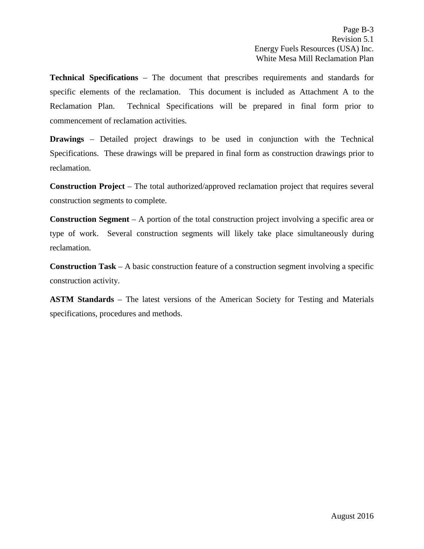**Technical Specifications** – The document that prescribes requirements and standards for specific elements of the reclamation. This document is included as Attachment A to the Reclamation Plan. Technical Specifications will be prepared in final form prior to commencement of reclamation activities.

**Drawings** – Detailed project drawings to be used in conjunction with the Technical Specifications. These drawings will be prepared in final form as construction drawings prior to reclamation.

**Construction Project** – The total authorized/approved reclamation project that requires several construction segments to complete.

**Construction Segment** – A portion of the total construction project involving a specific area or type of work. Several construction segments will likely take place simultaneously during reclamation.

**Construction Task** – A basic construction feature of a construction segment involving a specific construction activity.

**ASTM Standards** – The latest versions of the American Society for Testing and Materials specifications, procedures and methods.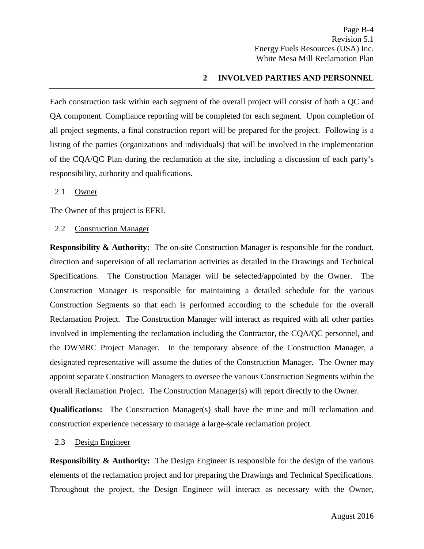## **2 INVOLVED PARTIES AND PERSONNEL**

<span id="page-6-0"></span>Each construction task within each segment of the overall project will consist of both a QC and QA component. Compliance reporting will be completed for each segment. Upon completion of all project segments, a final construction report will be prepared for the project. Following is a listing of the parties (organizations and individuals) that will be involved in the implementation of the CQA/QC Plan during the reclamation at the site, including a discussion of each party's responsibility, authority and qualifications.

#### <span id="page-6-1"></span>2.1 Owner

The Owner of this project is EFRI.

<span id="page-6-2"></span>2.2 Construction Manager

**Responsibility & Authority:** The on-site Construction Manager is responsible for the conduct, direction and supervision of all reclamation activities as detailed in the Drawings and Technical Specifications. The Construction Manager will be selected/appointed by the Owner. The Construction Manager is responsible for maintaining a detailed schedule for the various Construction Segments so that each is performed according to the schedule for the overall Reclamation Project. The Construction Manager will interact as required with all other parties involved in implementing the reclamation including the Contractor, the CQA/QC personnel, and the DWMRC Project Manager. In the temporary absence of the Construction Manager, a designated representative will assume the duties of the Construction Manager. The Owner may appoint separate Construction Managers to oversee the various Construction Segments within the overall Reclamation Project. The Construction Manager(s) will report directly to the Owner.

**Qualifications:**The Construction Manager(s) shall have the mine and mill reclamation and construction experience necessary to manage a large-scale reclamation project.

#### <span id="page-6-3"></span>2.3 Design Engineer

**Responsibility & Authority:** The Design Engineer is responsible for the design of the various elements of the reclamation project and for preparing the Drawings and Technical Specifications. Throughout the project, the Design Engineer will interact as necessary with the Owner,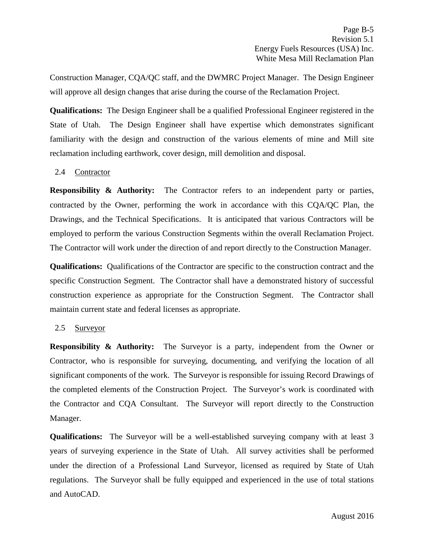Construction Manager, CQA/QC staff, and the DWMRC Project Manager. The Design Engineer will approve all design changes that arise during the course of the Reclamation Project.

**Qualifications:**The Design Engineer shall be a qualified Professional Engineer registered in the State of Utah. The Design Engineer shall have expertise which demonstrates significant familiarity with the design and construction of the various elements of mine and Mill site reclamation including earthwork, cover design, mill demolition and disposal.

## <span id="page-7-0"></span>2.4 Contractor

**Responsibility & Authority:** The Contractor refers to an independent party or parties, contracted by the Owner, performing the work in accordance with this CQA/QC Plan, the Drawings, and the Technical Specifications. It is anticipated that various Contractors will be employed to perform the various Construction Segments within the overall Reclamation Project. The Contractor will work under the direction of and report directly to the Construction Manager.

**Qualifications:**Qualifications of the Contractor are specific to the construction contract and the specific Construction Segment. The Contractor shall have a demonstrated history of successful construction experience as appropriate for the Construction Segment. The Contractor shall maintain current state and federal licenses as appropriate.

#### <span id="page-7-1"></span>2.5 Surveyor

**Responsibility & Authority:** The Surveyor is a party, independent from the Owner or Contractor, who is responsible for surveying, documenting, and verifying the location of all significant components of the work. The Surveyor is responsible for issuing Record Drawings of the completed elements of the Construction Project. The Surveyor's work is coordinated with the Contractor and CQA Consultant. The Surveyor will report directly to the Construction Manager.

**Qualifications:**The Surveyor will be a well-established surveying company with at least 3 years of surveying experience in the State of Utah. All survey activities shall be performed under the direction of a Professional Land Surveyor, licensed as required by State of Utah regulations. The Surveyor shall be fully equipped and experienced in the use of total stations and AutoCAD.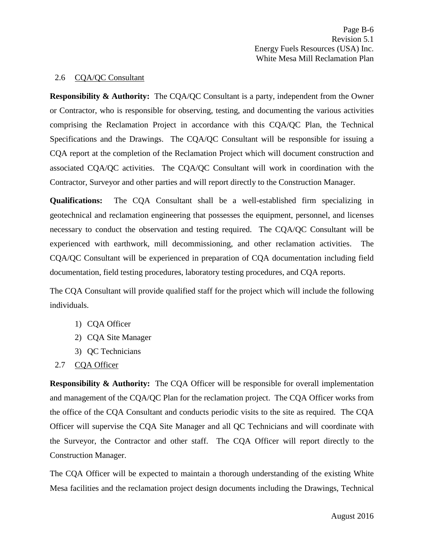#### <span id="page-8-0"></span>2.6 CQA/QC Consultant

**Responsibility & Authority:** The CQA/QC Consultant is a party, independent from the Owner or Contractor, who is responsible for observing, testing, and documenting the various activities comprising the Reclamation Project in accordance with this CQA/QC Plan, the Technical Specifications and the Drawings. The CQA/QC Consultant will be responsible for issuing a CQA report at the completion of the Reclamation Project which will document construction and associated CQA/QC activities. The CQA/QC Consultant will work in coordination with the Contractor, Surveyor and other parties and will report directly to the Construction Manager.

**Qualifications:**The CQA Consultant shall be a well-established firm specializing in geotechnical and reclamation engineering that possesses the equipment, personnel, and licenses necessary to conduct the observation and testing required. The CQA/QC Consultant will be experienced with earthwork, mill decommissioning, and other reclamation activities. The CQA/QC Consultant will be experienced in preparation of CQA documentation including field documentation, field testing procedures, laboratory testing procedures, and CQA reports.

The CQA Consultant will provide qualified staff for the project which will include the following individuals.

- 1) CQA Officer
- 2) CQA Site Manager
- 3) QC Technicians
- <span id="page-8-1"></span>2.7 CQA Officer

**Responsibility & Authority:** The CQA Officer will be responsible for overall implementation and management of the CQA/QC Plan for the reclamation project. The CQA Officer works from the office of the CQA Consultant and conducts periodic visits to the site as required. The CQA Officer will supervise the CQA Site Manager and all QC Technicians and will coordinate with the Surveyor, the Contractor and other staff. The CQA Officer will report directly to the Construction Manager.

The CQA Officer will be expected to maintain a thorough understanding of the existing White Mesa facilities and the reclamation project design documents including the Drawings, Technical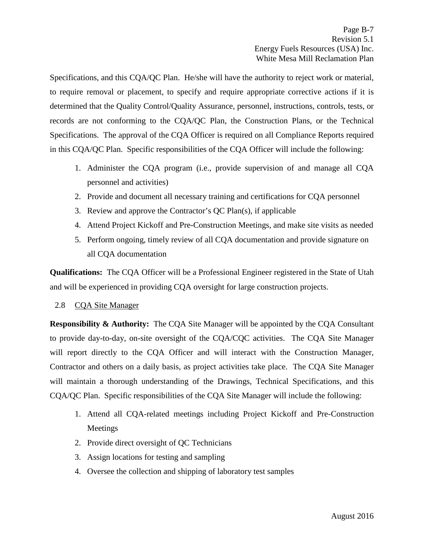Specifications, and this CQA/QC Plan. He/she will have the authority to reject work or material, to require removal or placement, to specify and require appropriate corrective actions if it is determined that the Quality Control/Quality Assurance, personnel, instructions, controls, tests, or records are not conforming to the CQA/QC Plan, the Construction Plans, or the Technical Specifications. The approval of the CQA Officer is required on all Compliance Reports required in this CQA/QC Plan. Specific responsibilities of the CQA Officer will include the following:

- 1. Administer the CQA program (i.e., provide supervision of and manage all CQA personnel and activities)
- 2. Provide and document all necessary training and certifications for CQA personnel
- 3. Review and approve the Contractor's QC Plan(s), if applicable
- 4. Attend Project Kickoff and Pre-Construction Meetings, and make site visits as needed
- 5. Perform ongoing, timely review of all CQA documentation and provide signature on all CQA documentation

**Qualifications:**The CQA Officer will be a Professional Engineer registered in the State of Utah and will be experienced in providing CQA oversight for large construction projects.

#### <span id="page-9-0"></span>2.8 CQA Site Manager

**Responsibility & Authority:** The CQA Site Manager will be appointed by the CQA Consultant to provide day-to-day, on-site oversight of the CQA/CQC activities. The CQA Site Manager will report directly to the CQA Officer and will interact with the Construction Manager, Contractor and others on a daily basis, as project activities take place. The CQA Site Manager will maintain a thorough understanding of the Drawings, Technical Specifications, and this CQA/QC Plan. Specific responsibilities of the CQA Site Manager will include the following:

- 1. Attend all CQA-related meetings including Project Kickoff and Pre-Construction Meetings
- 2. Provide direct oversight of QC Technicians
- 3. Assign locations for testing and sampling
- 4. Oversee the collection and shipping of laboratory test samples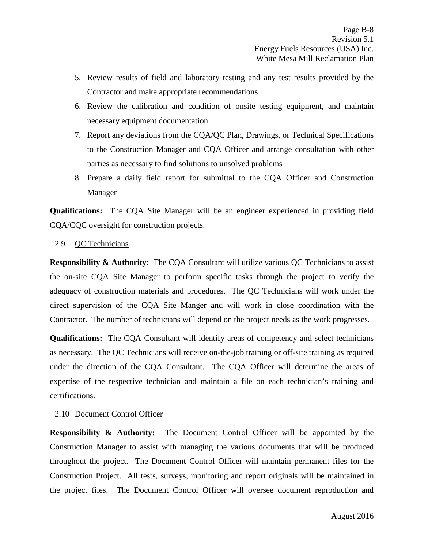- 5. Review results of field and laboratory testing and any test results provided by the Contractor and make appropriate recommendations
- 6. Review the calibration and condition of onsite testing equipment, and maintain necessary equipment documentation
- 7. Report any deviations from the CQA/QC Plan, Drawings, or Technical Specifications to the Construction Manager and CQA Officer and arrange consultation with other parties as necessary to find solutions to unsolved problems
- 8. Prepare a daily field report for submittal to the CQA Officer and Construction Manager

**Qualifications:**The CQA Site Manager will be an engineer experienced in providing field CQA/CQC oversight for construction projects.

<span id="page-10-0"></span>2.9 QC Technicians

**Responsibility & Authority:** The CQA Consultant will utilize various QC Technicians to assist the on-site CQA Site Manager to perform specific tasks through the project to verify the adequacy of construction materials and procedures. The QC Technicians will work under the direct supervision of the CQA Site Manger and will work in close coordination with the Contractor. The number of technicians will depend on the project needs as the work progresses.

**Qualifications:**The CQA Consultant will identify areas of competency and select technicians as necessary. The QC Technicians will receive on-the-job training or off-site training as required under the direction of the CQA Consultant. The CQA Officer will determine the areas of expertise of the respective technician and maintain a file on each technician's training and certifications.

## <span id="page-10-1"></span>2.10 Document Control Officer

**Responsibility & Authority:** The Document Control Officer will be appointed by the Construction Manager to assist with managing the various documents that will be produced throughout the project. The Document Control Officer will maintain permanent files for the Construction Project. All tests, surveys, monitoring and report originals will be maintained in the project files. The Document Control Officer will oversee document reproduction and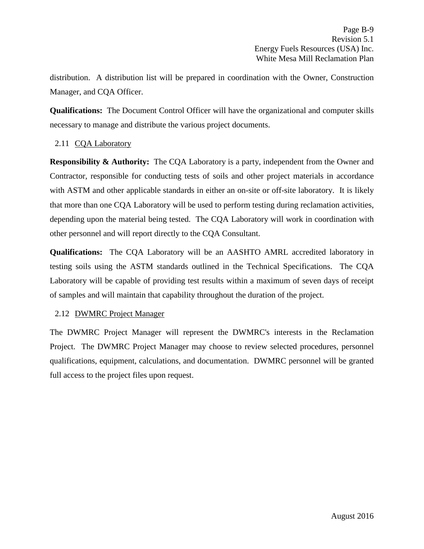distribution. A distribution list will be prepared in coordination with the Owner, Construction Manager, and CQA Officer.

**Qualifications:**The Document Control Officer will have the organizational and computer skills necessary to manage and distribute the various project documents.

## <span id="page-11-0"></span>2.11 CQA Laboratory

**Responsibility & Authority:** The CQA Laboratory is a party, independent from the Owner and Contractor, responsible for conducting tests of soils and other project materials in accordance with ASTM and other applicable standards in either an on-site or off-site laboratory. It is likely that more than one CQA Laboratory will be used to perform testing during reclamation activities, depending upon the material being tested. The CQA Laboratory will work in coordination with other personnel and will report directly to the CQA Consultant.

**Qualifications:**The CQA Laboratory will be an AASHTO AMRL accredited laboratory in testing soils using the ASTM standards outlined in the Technical Specifications. The CQA Laboratory will be capable of providing test results within a maximum of seven days of receipt of samples and will maintain that capability throughout the duration of the project.

## <span id="page-11-1"></span>2.12 DWMRC Project Manager

The DWMRC Project Manager will represent the DWMRC's interests in the Reclamation Project. The DWMRC Project Manager may choose to review selected procedures, personnel qualifications, equipment, calculations, and documentation. DWMRC personnel will be granted full access to the project files upon request.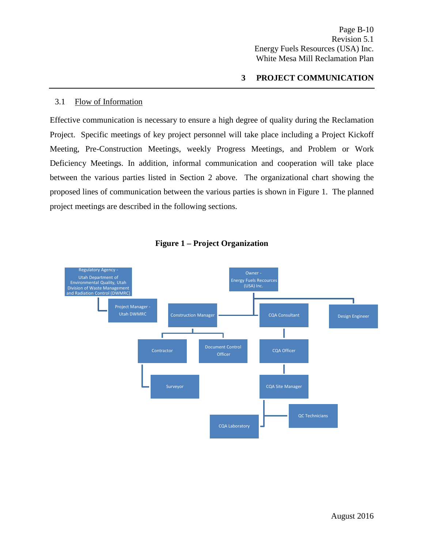## **3 PROJECT COMMUNICATION**

#### <span id="page-12-1"></span><span id="page-12-0"></span>3.1 Flow of Information

Effective communication is necessary to ensure a high degree of quality during the Reclamation Project. Specific meetings of key project personnel will take place including a Project Kickoff Meeting, Pre-Construction Meetings, weekly Progress Meetings, and Problem or Work Deficiency Meetings. In addition, informal communication and cooperation will take place between the various parties listed in Section 2 above. The organizational chart showing the proposed lines of communication between the various parties is shown in Figure 1. The planned project meetings are described in the following sections.



## **Figure 1 – Project Organization**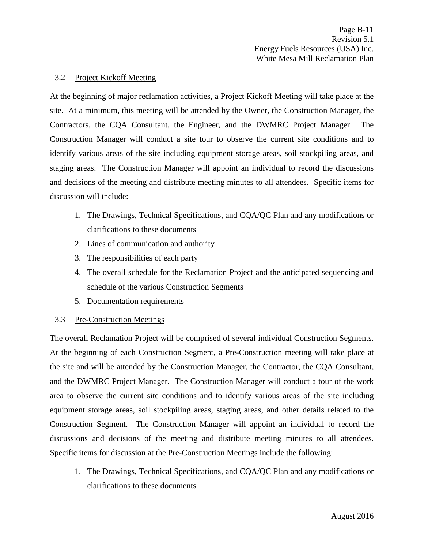#### <span id="page-13-0"></span>3.2 Project Kickoff Meeting

At the beginning of major reclamation activities, a Project Kickoff Meeting will take place at the site. At a minimum, this meeting will be attended by the Owner, the Construction Manager, the Contractors, the CQA Consultant, the Engineer, and the DWMRC Project Manager. The Construction Manager will conduct a site tour to observe the current site conditions and to identify various areas of the site including equipment storage areas, soil stockpiling areas, and staging areas. The Construction Manager will appoint an individual to record the discussions and decisions of the meeting and distribute meeting minutes to all attendees. Specific items for discussion will include:

- 1. The Drawings, Technical Specifications, and CQA/QC Plan and any modifications or clarifications to these documents
- 2. Lines of communication and authority
- 3. The responsibilities of each party
- 4. The overall schedule for the Reclamation Project and the anticipated sequencing and schedule of the various Construction Segments
- 5. Documentation requirements

## <span id="page-13-1"></span>3.3 Pre-Construction Meetings

The overall Reclamation Project will be comprised of several individual Construction Segments. At the beginning of each Construction Segment, a Pre-Construction meeting will take place at the site and will be attended by the Construction Manager, the Contractor, the CQA Consultant, and the DWMRC Project Manager. The Construction Manager will conduct a tour of the work area to observe the current site conditions and to identify various areas of the site including equipment storage areas, soil stockpiling areas, staging areas, and other details related to the Construction Segment. The Construction Manager will appoint an individual to record the discussions and decisions of the meeting and distribute meeting minutes to all attendees. Specific items for discussion at the Pre-Construction Meetings include the following:

1. The Drawings, Technical Specifications, and CQA/QC Plan and any modifications or clarifications to these documents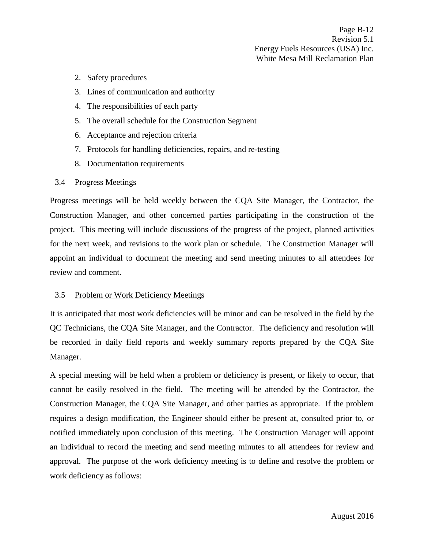- 2. Safety procedures
- 3. Lines of communication and authority
- 4. The responsibilities of each party
- 5. The overall schedule for the Construction Segment
- 6. Acceptance and rejection criteria
- 7. Protocols for handling deficiencies, repairs, and re-testing
- 8. Documentation requirements

#### <span id="page-14-0"></span>3.4 Progress Meetings

Progress meetings will be held weekly between the CQA Site Manager, the Contractor, the Construction Manager, and other concerned parties participating in the construction of the project. This meeting will include discussions of the progress of the project, planned activities for the next week, and revisions to the work plan or schedule. The Construction Manager will appoint an individual to document the meeting and send meeting minutes to all attendees for review and comment.

#### <span id="page-14-1"></span>3.5 Problem or Work Deficiency Meetings

It is anticipated that most work deficiencies will be minor and can be resolved in the field by the QC Technicians, the CQA Site Manager, and the Contractor. The deficiency and resolution will be recorded in daily field reports and weekly summary reports prepared by the CQA Site Manager.

A special meeting will be held when a problem or deficiency is present, or likely to occur, that cannot be easily resolved in the field. The meeting will be attended by the Contractor, the Construction Manager, the CQA Site Manager, and other parties as appropriate. If the problem requires a design modification, the Engineer should either be present at, consulted prior to, or notified immediately upon conclusion of this meeting. The Construction Manager will appoint an individual to record the meeting and send meeting minutes to all attendees for review and approval. The purpose of the work deficiency meeting is to define and resolve the problem or work deficiency as follows: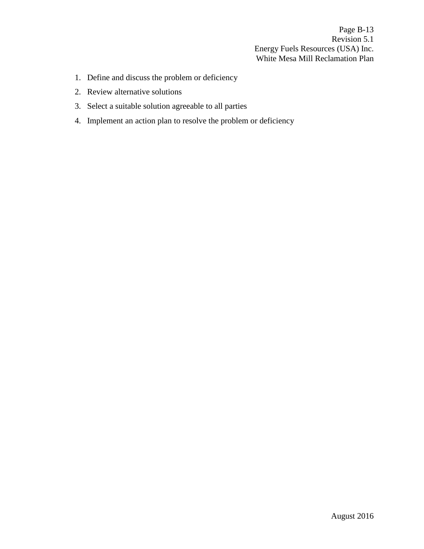Page B-13 Revision 5.1 Energy Fuels Resources (USA) Inc. White Mesa Mill Reclamation Plan

- 1. Define and discuss the problem or deficiency
- 2. Review alternative solutions
- 3. Select a suitable solution agreeable to all parties
- 4. Implement an action plan to resolve the problem or deficiency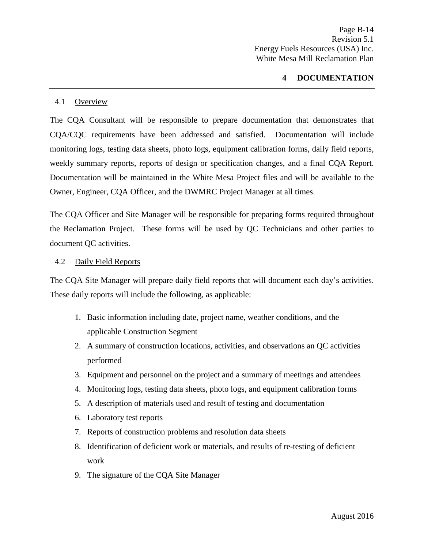## **4 DOCUMENTATION**

#### <span id="page-16-1"></span><span id="page-16-0"></span>4.1 Overview

The CQA Consultant will be responsible to prepare documentation that demonstrates that CQA/CQC requirements have been addressed and satisfied. Documentation will include monitoring logs, testing data sheets, photo logs, equipment calibration forms, daily field reports, weekly summary reports, reports of design or specification changes, and a final CQA Report. Documentation will be maintained in the White Mesa Project files and will be available to the Owner, Engineer, CQA Officer, and the DWMRC Project Manager at all times.

The CQA Officer and Site Manager will be responsible for preparing forms required throughout the Reclamation Project. These forms will be used by QC Technicians and other parties to document QC activities.

#### <span id="page-16-2"></span>4.2 Daily Field Reports

The CQA Site Manager will prepare daily field reports that will document each day's activities. These daily reports will include the following, as applicable:

- 1. Basic information including date, project name, weather conditions, and the applicable Construction Segment
- 2. A summary of construction locations, activities, and observations an QC activities performed
- 3. Equipment and personnel on the project and a summary of meetings and attendees
- 4. Monitoring logs, testing data sheets, photo logs, and equipment calibration forms
- 5. A description of materials used and result of testing and documentation
- 6. Laboratory test reports
- 7. Reports of construction problems and resolution data sheets
- 8. Identification of deficient work or materials, and results of re-testing of deficient work
- 9. The signature of the CQA Site Manager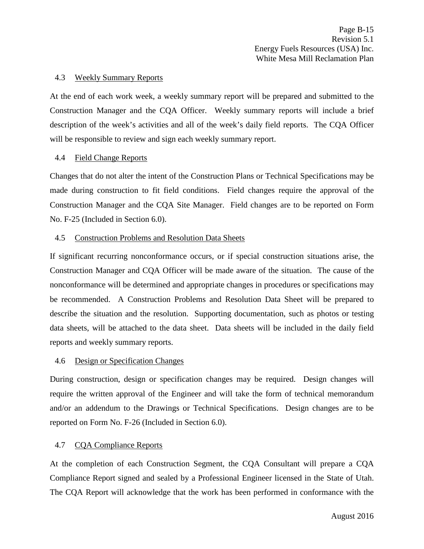#### <span id="page-17-0"></span>4.3 Weekly Summary Reports

At the end of each work week, a weekly summary report will be prepared and submitted to the Construction Manager and the CQA Officer. Weekly summary reports will include a brief description of the week's activities and all of the week's daily field reports. The CQA Officer will be responsible to review and sign each weekly summary report.

#### <span id="page-17-1"></span>4.4 Field Change Reports

Changes that do not alter the intent of the Construction Plans or Technical Specifications may be made during construction to fit field conditions. Field changes require the approval of the Construction Manager and the CQA Site Manager. Field changes are to be reported on Form No. F-25 (Included in Section 6.0).

#### <span id="page-17-2"></span>4.5 Construction Problems and Resolution Data Sheets

If significant recurring nonconformance occurs, or if special construction situations arise, the Construction Manager and CQA Officer will be made aware of the situation. The cause of the nonconformance will be determined and appropriate changes in procedures or specifications may be recommended. A Construction Problems and Resolution Data Sheet will be prepared to describe the situation and the resolution. Supporting documentation, such as photos or testing data sheets, will be attached to the data sheet. Data sheets will be included in the daily field reports and weekly summary reports.

#### <span id="page-17-3"></span>4.6 Design or Specification Changes

During construction, design or specification changes may be required. Design changes will require the written approval of the Engineer and will take the form of technical memorandum and/or an addendum to the Drawings or Technical Specifications. Design changes are to be reported on Form No. F-26 (Included in Section 6.0).

## <span id="page-17-4"></span>4.7 CQA Compliance Reports

At the completion of each Construction Segment, the CQA Consultant will prepare a CQA Compliance Report signed and sealed by a Professional Engineer licensed in the State of Utah. The CQA Report will acknowledge that the work has been performed in conformance with the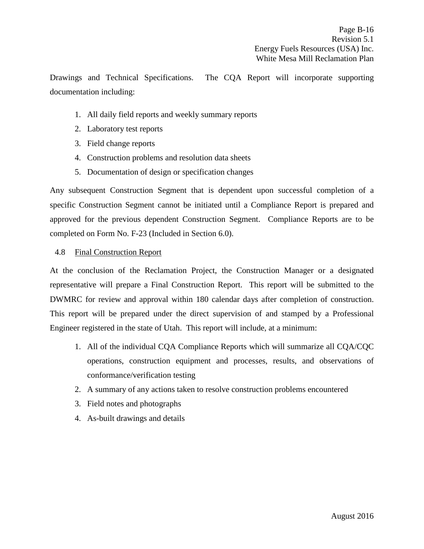Drawings and Technical Specifications. The CQA Report will incorporate supporting documentation including:

- 1. All daily field reports and weekly summary reports
- 2. Laboratory test reports
- 3. Field change reports
- 4. Construction problems and resolution data sheets
- 5. Documentation of design or specification changes

Any subsequent Construction Segment that is dependent upon successful completion of a specific Construction Segment cannot be initiated until a Compliance Report is prepared and approved for the previous dependent Construction Segment. Compliance Reports are to be completed on Form No. F-23 (Included in Section 6.0).

## <span id="page-18-0"></span>4.8 Final Construction Report

At the conclusion of the Reclamation Project, the Construction Manager or a designated representative will prepare a Final Construction Report. This report will be submitted to the DWMRC for review and approval within 180 calendar days after completion of construction. This report will be prepared under the direct supervision of and stamped by a Professional Engineer registered in the state of Utah. This report will include, at a minimum:

- 1. All of the individual CQA Compliance Reports which will summarize all CQA/CQC operations, construction equipment and processes, results, and observations of conformance/verification testing
- 2. A summary of any actions taken to resolve construction problems encountered
- 3. Field notes and photographs
- 4. As-built drawings and details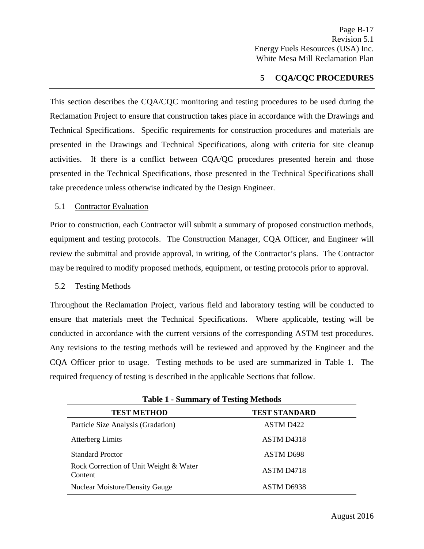## **5 CQA/CQC PROCEDURES**

<span id="page-19-0"></span>This section describes the CQA/CQC monitoring and testing procedures to be used during the Reclamation Project to ensure that construction takes place in accordance with the Drawings and Technical Specifications. Specific requirements for construction procedures and materials are presented in the Drawings and Technical Specifications, along with criteria for site cleanup activities. If there is a conflict between CQA/QC procedures presented herein and those presented in the Technical Specifications, those presented in the Technical Specifications shall take precedence unless otherwise indicated by the Design Engineer.

<span id="page-19-1"></span>5.1 Contractor Evaluation

Prior to construction, each Contractor will submit a summary of proposed construction methods, equipment and testing protocols. The Construction Manager, CQA Officer, and Engineer will review the submittal and provide approval, in writing, of the Contractor's plans. The Contractor may be required to modify proposed methods, equipment, or testing protocols prior to approval.

#### <span id="page-19-2"></span>5.2 Testing Methods

Throughout the Reclamation Project, various field and laboratory testing will be conducted to ensure that materials meet the Technical Specifications. Where applicable, testing will be conducted in accordance with the current versions of the corresponding ASTM test procedures. Any revisions to the testing methods will be reviewed and approved by the Engineer and the CQA Officer prior to usage. Testing methods to be used are summarized in Table 1. The required frequency of testing is described in the applicable Sections that follow.

| <b>Table 1 - Summary of Testing Methods</b>       |                        |  |  |
|---------------------------------------------------|------------------------|--|--|
| <b>TEST METHOD</b>                                | <b>TEST STANDARD</b>   |  |  |
| Particle Size Analysis (Gradation)                | ASTM D <sub>422</sub>  |  |  |
| <b>Atterberg Limits</b>                           | ASTM D <sub>4318</sub> |  |  |
| <b>Standard Proctor</b>                           | <b>ASTM D698</b>       |  |  |
| Rock Correction of Unit Weight & Water<br>Content | ASTM D <sub>4718</sub> |  |  |
| <b>Nuclear Moisture/Density Gauge</b>             | ASTM D6938             |  |  |

**Table 1 - Summary of Testing Methods**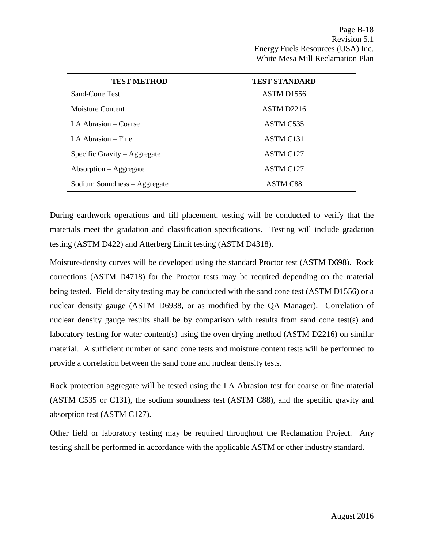| <b>TEST METHOD</b>           | <b>TEST STANDARD</b>   |
|------------------------------|------------------------|
| Sand-Cone Test               | ASTM D <sub>1556</sub> |
| Moisture Content             | ASTM D2216             |
| LA Abrasion – Coarse         | ASTM C <sub>535</sub>  |
| LA Abrasion – Fine           | ASTM C <sub>131</sub>  |
| Specific Gravity – Aggregate | ASTM C <sub>127</sub>  |
| $Absorption - Aggregation$   | <b>ASTM C127</b>       |
| Sodium Soundness – Aggregate | ASTM C88               |

During earthwork operations and fill placement, testing will be conducted to verify that the materials meet the gradation and classification specifications. Testing will include gradation testing (ASTM D422) and Atterberg Limit testing (ASTM D4318).

Moisture-density curves will be developed using the standard Proctor test (ASTM D698). Rock corrections (ASTM D4718) for the Proctor tests may be required depending on the material being tested. Field density testing may be conducted with the sand cone test (ASTM D1556) or a nuclear density gauge (ASTM D6938, or as modified by the QA Manager). Correlation of nuclear density gauge results shall be by comparison with results from sand cone test(s) and laboratory testing for water content(s) using the oven drying method (ASTM D2216) on similar material. A sufficient number of sand cone tests and moisture content tests will be performed to provide a correlation between the sand cone and nuclear density tests.

Rock protection aggregate will be tested using the LA Abrasion test for coarse or fine material (ASTM C535 or C131), the sodium soundness test (ASTM C88), and the specific gravity and absorption test (ASTM C127).

Other field or laboratory testing may be required throughout the Reclamation Project. Any testing shall be performed in accordance with the applicable ASTM or other industry standard.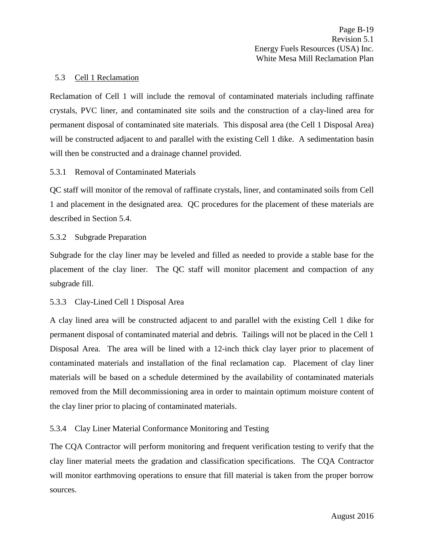#### <span id="page-21-0"></span>5.3 Cell 1 Reclamation

Reclamation of Cell 1 will include the removal of contaminated materials including raffinate crystals, PVC liner, and contaminated site soils and the construction of a clay-lined area for permanent disposal of contaminated site materials. This disposal area (the Cell 1 Disposal Area) will be constructed adjacent to and parallel with the existing Cell 1 dike. A sedimentation basin will then be constructed and a drainage channel provided.

## <span id="page-21-1"></span>5.3.1 Removal of Contaminated Materials

QC staff will monitor of the removal of raffinate crystals, liner, and contaminated soils from Cell 1 and placement in the designated area. QC procedures for the placement of these materials are described in Section 5.4.

## <span id="page-21-2"></span>5.3.2 Subgrade Preparation

Subgrade for the clay liner may be leveled and filled as needed to provide a stable base for the placement of the clay liner. The QC staff will monitor placement and compaction of any subgrade fill.

#### <span id="page-21-3"></span>5.3.3 Clay-Lined Cell 1 Disposal Area

A clay lined area will be constructed adjacent to and parallel with the existing Cell 1 dike for permanent disposal of contaminated material and debris. Tailings will not be placed in the Cell 1 Disposal Area. The area will be lined with a 12-inch thick clay layer prior to placement of contaminated materials and installation of the final reclamation cap. Placement of clay liner materials will be based on a schedule determined by the availability of contaminated materials removed from the Mill decommissioning area in order to maintain optimum moisture content of the clay liner prior to placing of contaminated materials.

## <span id="page-21-4"></span>5.3.4 Clay Liner Material Conformance Monitoring and Testing

The CQA Contractor will perform monitoring and frequent verification testing to verify that the clay liner material meets the gradation and classification specifications. The CQA Contractor will monitor earthmoving operations to ensure that fill material is taken from the proper borrow sources.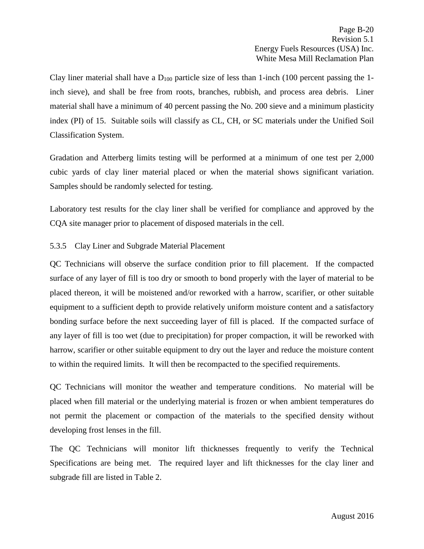Clay liner material shall have a  $D_{100}$  particle size of less than 1-inch (100 percent passing the 1inch sieve), and shall be free from roots, branches, rubbish, and process area debris. Liner material shall have a minimum of 40 percent passing the No. 200 sieve and a minimum plasticity index (PI) of 15. Suitable soils will classify as CL, CH, or SC materials under the Unified Soil Classification System.

Gradation and Atterberg limits testing will be performed at a minimum of one test per 2,000 cubic yards of clay liner material placed or when the material shows significant variation. Samples should be randomly selected for testing.

Laboratory test results for the clay liner shall be verified for compliance and approved by the CQA site manager prior to placement of disposed materials in the cell.

## <span id="page-22-0"></span>5.3.5 Clay Liner and Subgrade Material Placement

QC Technicians will observe the surface condition prior to fill placement. If the compacted surface of any layer of fill is too dry or smooth to bond properly with the layer of material to be placed thereon, it will be moistened and/or reworked with a harrow, scarifier, or other suitable equipment to a sufficient depth to provide relatively uniform moisture content and a satisfactory bonding surface before the next succeeding layer of fill is placed. If the compacted surface of any layer of fill is too wet (due to precipitation) for proper compaction, it will be reworked with harrow, scarifier or other suitable equipment to dry out the layer and reduce the moisture content to within the required limits. It will then be recompacted to the specified requirements.

QC Technicians will monitor the weather and temperature conditions. No material will be placed when fill material or the underlying material is frozen or when ambient temperatures do not permit the placement or compaction of the materials to the specified density without developing frost lenses in the fill.

The QC Technicians will monitor lift thicknesses frequently to verify the Technical Specifications are being met. The required layer and lift thicknesses for the clay liner and subgrade fill are listed in Table 2.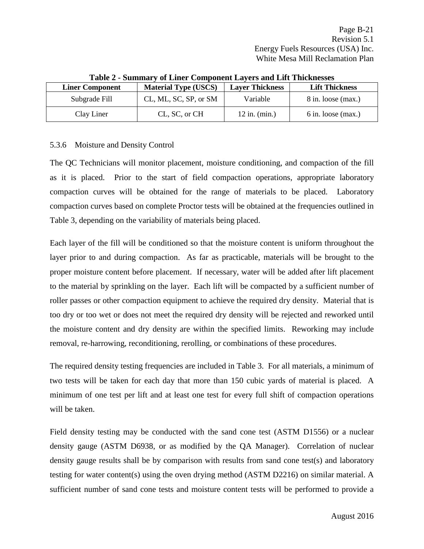| <b>Liner Component</b> | <b>Material Type (USCS)</b> | <b>Layer Thickness</b> | <b>Lift Thickness</b> |
|------------------------|-----------------------------|------------------------|-----------------------|
| Subgrade Fill          | CL, ML, SC, SP, or SM       | Variable               | 8 in. loose (max.)    |
| Clay Liner             | CL, SC, or CH               | $12$ in. (min.)        | $6$ in. loose (max.)  |

#### **Table 2 - Summary of Liner Component Layers and Lift Thicknesses**

## <span id="page-23-0"></span>5.3.6 Moisture and Density Control

The QC Technicians will monitor placement, moisture conditioning, and compaction of the fill as it is placed. Prior to the start of field compaction operations, appropriate laboratory compaction curves will be obtained for the range of materials to be placed. Laboratory compaction curves based on complete Proctor tests will be obtained at the frequencies outlined in Table 3, depending on the variability of materials being placed.

Each layer of the fill will be conditioned so that the moisture content is uniform throughout the layer prior to and during compaction. As far as practicable, materials will be brought to the proper moisture content before placement. If necessary, water will be added after lift placement to the material by sprinkling on the layer. Each lift will be compacted by a sufficient number of roller passes or other compaction equipment to achieve the required dry density. Material that is too dry or too wet or does not meet the required dry density will be rejected and reworked until the moisture content and dry density are within the specified limits. Reworking may include removal, re-harrowing, reconditioning, rerolling, or combinations of these procedures.

The required density testing frequencies are included in Table 3. For all materials, a minimum of two tests will be taken for each day that more than 150 cubic yards of material is placed. A minimum of one test per lift and at least one test for every full shift of compaction operations will be taken.

Field density testing may be conducted with the sand cone test (ASTM D1556) or a nuclear density gauge (ASTM D6938, or as modified by the QA Manager). Correlation of nuclear density gauge results shall be by comparison with results from sand cone test(s) and laboratory testing for water content(s) using the oven drying method (ASTM D2216) on similar material. A sufficient number of sand cone tests and moisture content tests will be performed to provide a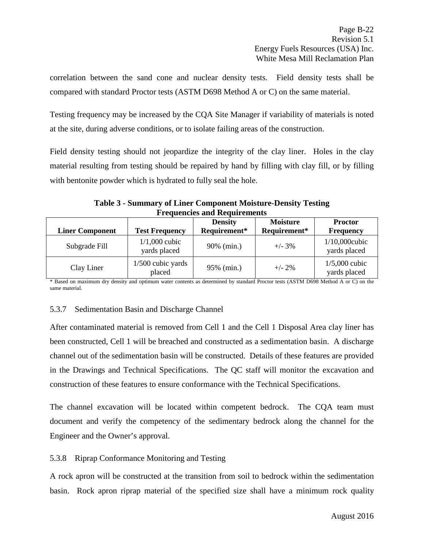correlation between the sand cone and nuclear density tests. Field density tests shall be compared with standard Proctor tests (ASTM D698 Method A or C) on the same material.

Testing frequency may be increased by the CQA Site Manager if variability of materials is noted at the site, during adverse conditions, or to isolate failing areas of the construction.

Field density testing should not jeopardize the integrity of the clay liner. Holes in the clay material resulting from testing should be repaired by hand by filling with clay fill, or by filling with bentonite powder which is hydrated to fully seal the hole.

**Table 3 - Summary of Liner Component Moisture-Density Testing Frequencies and Requirements**

| <b>Liner Component</b> | <b>Test Frequency</b>           | <b>Density</b><br>Requirement* | <b>Moisture</b><br>Requirement* | <b>Proctor</b><br><b>Frequency</b> |
|------------------------|---------------------------------|--------------------------------|---------------------------------|------------------------------------|
| Subgrade Fill          | $1/1,000$ cubic<br>yards placed | 90% (min.)                     | $+/- 3\%$                       | $1/10,000$ cubic<br>yards placed   |
| Clay Liner             | $1/500$ cubic yards<br>placed   | 95% (min.)                     | $+/- 2\%$                       | $1/5,000$ cubic<br>yards placed    |

\* Based on maximum dry density and optimum water contents as determined by standard Proctor tests (ASTM D698 Method A or C) on the same material.

## <span id="page-24-0"></span>5.3.7 Sedimentation Basin and Discharge Channel

After contaminated material is removed from Cell 1 and the Cell 1 Disposal Area clay liner has been constructed, Cell 1 will be breached and constructed as a sedimentation basin. A discharge channel out of the sedimentation basin will be constructed. Details of these features are provided in the Drawings and Technical Specifications. The QC staff will monitor the excavation and construction of these features to ensure conformance with the Technical Specifications.

The channel excavation will be located within competent bedrock. The CQA team must document and verify the competency of the sedimentary bedrock along the channel for the Engineer and the Owner's approval.

## <span id="page-24-1"></span>5.3.8 Riprap Conformance Monitoring and Testing

A rock apron will be constructed at the transition from soil to bedrock within the sedimentation basin. Rock apron riprap material of the specified size shall have a minimum rock quality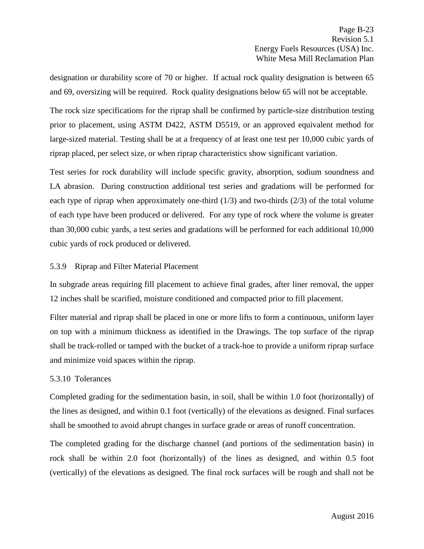designation or durability score of 70 or higher. If actual rock quality designation is between 65 and 69, oversizing will be required. Rock quality designations below 65 will not be acceptable.

The rock size specifications for the riprap shall be confirmed by particle-size distribution testing prior to placement, using ASTM D422, ASTM D5519, or an approved equivalent method for large-sized material. Testing shall be at a frequency of at least one test per 10,000 cubic yards of riprap placed, per select size, or when riprap characteristics show significant variation.

Test series for rock durability will include specific gravity, absorption, sodium soundness and LA abrasion. During construction additional test series and gradations will be performed for each type of riprap when approximately one-third  $(1/3)$  and two-thirds  $(2/3)$  of the total volume of each type have been produced or delivered. For any type of rock where the volume is greater than 30,000 cubic yards, a test series and gradations will be performed for each additional 10,000 cubic yards of rock produced or delivered.

## <span id="page-25-0"></span>5.3.9 Riprap and Filter Material Placement

In subgrade areas requiring fill placement to achieve final grades, after liner removal, the upper 12 inches shall be scarified, moisture conditioned and compacted prior to fill placement.

Filter material and riprap shall be placed in one or more lifts to form a continuous, uniform layer on top with a minimum thickness as identified in the Drawings. The top surface of the riprap shall be track-rolled or tamped with the bucket of a track-hoe to provide a uniform riprap surface and minimize void spaces within the riprap.

## <span id="page-25-1"></span>5.3.10 Tolerances

Completed grading for the sedimentation basin, in soil, shall be within 1.0 foot (horizontally) of the lines as designed, and within 0.1 foot (vertically) of the elevations as designed. Final surfaces shall be smoothed to avoid abrupt changes in surface grade or areas of runoff concentration.

The completed grading for the discharge channel (and portions of the sedimentation basin) in rock shall be within 2.0 foot (horizontally) of the lines as designed, and within 0.5 foot (vertically) of the elevations as designed. The final rock surfaces will be rough and shall not be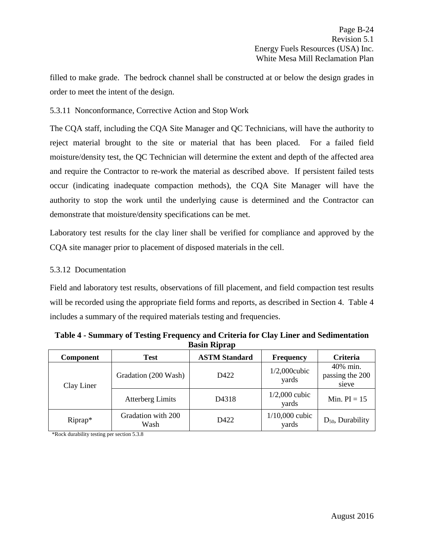filled to make grade. The bedrock channel shall be constructed at or below the design grades in order to meet the intent of the design.

## <span id="page-26-0"></span>5.3.11 Nonconformance, Corrective Action and Stop Work

The CQA staff, including the CQA Site Manager and QC Technicians, will have the authority to reject material brought to the site or material that has been placed. For a failed field moisture/density test, the QC Technician will determine the extent and depth of the affected area and require the Contractor to re-work the material as described above. If persistent failed tests occur (indicating inadequate compaction methods), the CQA Site Manager will have the authority to stop the work until the underlying cause is determined and the Contractor can demonstrate that moisture/density specifications can be met.

Laboratory test results for the clay liner shall be verified for compliance and approved by the CQA site manager prior to placement of disposed materials in the cell.

## <span id="page-26-1"></span>5.3.12 Documentation

Field and laboratory test results, observations of fill placement, and field compaction test results will be recorded using the appropriate field forms and reports, as described in Section 4. Table 4 includes a summary of the required materials testing and frequencies.

| <b>Component</b> | <b>Test</b>                | <b>ASTM Standard</b> | <b>Frequency</b>          | Criteria                             |
|------------------|----------------------------|----------------------|---------------------------|--------------------------------------|
| Clay Liner       | Gradation (200 Wash)       | D422                 | $1/2,000$ cubic<br>yards  | 40% min.<br>passing the 200<br>sieve |
|                  | <b>Atterberg Limits</b>    | D4318                | $1/2,000$ cubic<br>yards  | Min. $PI = 15$                       |
| Riprap*          | Gradation with 200<br>Wash | D422                 | $1/10,000$ cubic<br>yards | $D_{50}$ , Durability                |

**Table 4 - Summary of Testing Frequency and Criteria for Clay Liner and Sedimentation Basin Riprap**

\*Rock durability testing per section 5.3.8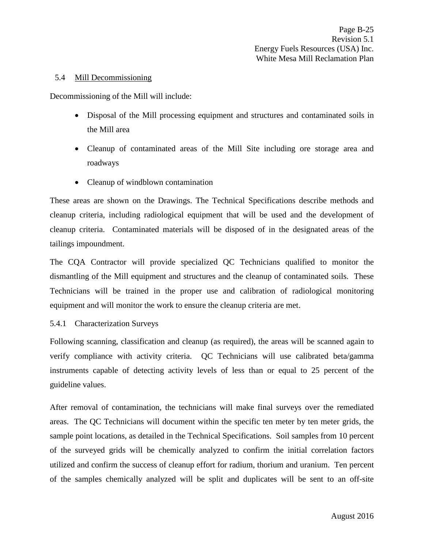#### <span id="page-27-0"></span>5.4 Mill Decommissioning

Decommissioning of the Mill will include:

- Disposal of the Mill processing equipment and structures and contaminated soils in the Mill area
- Cleanup of contaminated areas of the Mill Site including ore storage area and roadways
- Cleanup of windblown contamination

These areas are shown on the Drawings. The Technical Specifications describe methods and cleanup criteria, including radiological equipment that will be used and the development of cleanup criteria. Contaminated materials will be disposed of in the designated areas of the tailings impoundment.

The CQA Contractor will provide specialized QC Technicians qualified to monitor the dismantling of the Mill equipment and structures and the cleanup of contaminated soils. These Technicians will be trained in the proper use and calibration of radiological monitoring equipment and will monitor the work to ensure the cleanup criteria are met.

#### <span id="page-27-1"></span>5.4.1 Characterization Surveys

Following scanning, classification and cleanup (as required), the areas will be scanned again to verify compliance with activity criteria. QC Technicians will use calibrated beta/gamma instruments capable of detecting activity levels of less than or equal to 25 percent of the guideline values.

After removal of contamination, the technicians will make final surveys over the remediated areas. The QC Technicians will document within the specific ten meter by ten meter grids, the sample point locations, as detailed in the Technical Specifications. Soil samples from 10 percent of the surveyed grids will be chemically analyzed to confirm the initial correlation factors utilized and confirm the success of cleanup effort for radium, thorium and uranium. Ten percent of the samples chemically analyzed will be split and duplicates will be sent to an off-site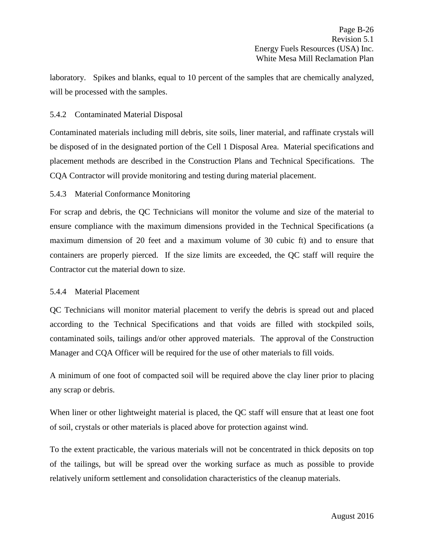laboratory. Spikes and blanks, equal to 10 percent of the samples that are chemically analyzed, will be processed with the samples.

## <span id="page-28-0"></span>5.4.2 Contaminated Material Disposal

Contaminated materials including mill debris, site soils, liner material, and raffinate crystals will be disposed of in the designated portion of the Cell 1 Disposal Area. Material specifications and placement methods are described in the Construction Plans and Technical Specifications. The CQA Contractor will provide monitoring and testing during material placement.

## <span id="page-28-1"></span>5.4.3 Material Conformance Monitoring

For scrap and debris, the QC Technicians will monitor the volume and size of the material to ensure compliance with the maximum dimensions provided in the Technical Specifications (a maximum dimension of 20 feet and a maximum volume of 30 cubic ft) and to ensure that containers are properly pierced. If the size limits are exceeded, the QC staff will require the Contractor cut the material down to size.

#### <span id="page-28-2"></span>5.4.4 Material Placement

QC Technicians will monitor material placement to verify the debris is spread out and placed according to the Technical Specifications and that voids are filled with stockpiled soils, contaminated soils, tailings and/or other approved materials. The approval of the Construction Manager and CQA Officer will be required for the use of other materials to fill voids.

A minimum of one foot of compacted soil will be required above the clay liner prior to placing any scrap or debris.

When liner or other lightweight material is placed, the QC staff will ensure that at least one foot of soil, crystals or other materials is placed above for protection against wind.

To the extent practicable, the various materials will not be concentrated in thick deposits on top of the tailings, but will be spread over the working surface as much as possible to provide relatively uniform settlement and consolidation characteristics of the cleanup materials.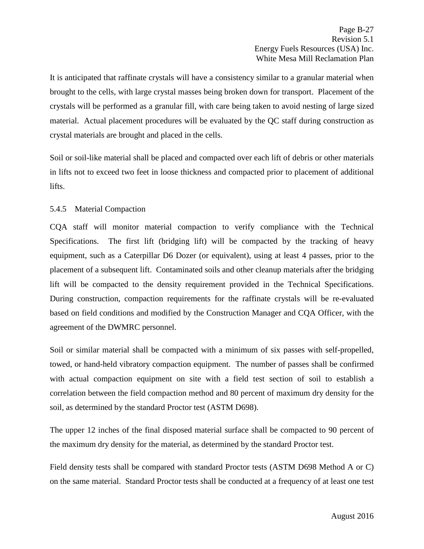It is anticipated that raffinate crystals will have a consistency similar to a granular material when brought to the cells, with large crystal masses being broken down for transport. Placement of the crystals will be performed as a granular fill, with care being taken to avoid nesting of large sized material. Actual placement procedures will be evaluated by the QC staff during construction as crystal materials are brought and placed in the cells.

Soil or soil-like material shall be placed and compacted over each lift of debris or other materials in lifts not to exceed two feet in loose thickness and compacted prior to placement of additional lifts.

## <span id="page-29-0"></span>5.4.5 Material Compaction

CQA staff will monitor material compaction to verify compliance with the Technical Specifications. The first lift (bridging lift) will be compacted by the tracking of heavy equipment, such as a Caterpillar D6 Dozer (or equivalent), using at least 4 passes, prior to the placement of a subsequent lift. Contaminated soils and other cleanup materials after the bridging lift will be compacted to the density requirement provided in the Technical Specifications. During construction, compaction requirements for the raffinate crystals will be re-evaluated based on field conditions and modified by the Construction Manager and CQA Officer, with the agreement of the DWMRC personnel.

Soil or similar material shall be compacted with a minimum of six passes with self-propelled, towed, or hand-held vibratory compaction equipment. The number of passes shall be confirmed with actual compaction equipment on site with a field test section of soil to establish a correlation between the field compaction method and 80 percent of maximum dry density for the soil, as determined by the standard Proctor test (ASTM D698).

The upper 12 inches of the final disposed material surface shall be compacted to 90 percent of the maximum dry density for the material, as determined by the standard Proctor test.

Field density tests shall be compared with standard Proctor tests (ASTM D698 Method A or C) on the same material. Standard Proctor tests shall be conducted at a frequency of at least one test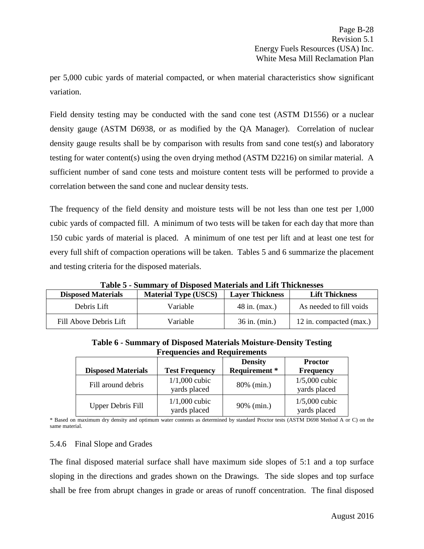per 5,000 cubic yards of material compacted, or when material characteristics show significant variation.

Field density testing may be conducted with the sand cone test (ASTM D1556) or a nuclear density gauge (ASTM D6938, or as modified by the QA Manager). Correlation of nuclear density gauge results shall be by comparison with results from sand cone test(s) and laboratory testing for water content(s) using the oven drying method (ASTM D2216) on similar material. A sufficient number of sand cone tests and moisture content tests will be performed to provide a correlation between the sand cone and nuclear density tests.

The frequency of the field density and moisture tests will be not less than one test per 1,000 cubic yards of compacted fill. A minimum of two tests will be taken for each day that more than 150 cubic yards of material is placed. A minimum of one test per lift and at least one test for every full shift of compaction operations will be taken. Tables 5 and 6 summarize the placement and testing criteria for the disposed materials.

**Table 5 - Summary of Disposed Materials and Lift Thicknesses**

| <b>Disposed Materials</b> | <b>Material Type (USCS)</b> | <b>Layer Thickness</b> | <b>Lift Thickness</b>   |
|---------------------------|-----------------------------|------------------------|-------------------------|
| Debris Lift               | Variable                    | $48$ in. (max.)        | As needed to fill voids |
| Fill Above Debris Lift    | Variable                    | $36$ in. (min.)        | 12 in. compacted (max.) |

| <b>Frequencies and Requirements</b> |                                 |                      |                                 |  |  |
|-------------------------------------|---------------------------------|----------------------|---------------------------------|--|--|
|                                     |                                 | <b>Density</b>       | <b>Proctor</b>                  |  |  |
| <b>Disposed Materials</b>           | <b>Test Frequency</b>           | <b>Requirement</b> * | <b>Frequency</b>                |  |  |
| Fill around debris                  | $1/1,000$ cubic<br>yards placed | 80% (min.)           | $1/5,000$ cubic<br>yards placed |  |  |
| <b>Upper Debris Fill</b>            | $1/1,000$ cubic<br>yards placed | 90% (min.)           | $1/5,000$ cubic<br>yards placed |  |  |

**Table 6 - Summary of Disposed Materials Moisture-Density Testing Frequencies and Requirements**

\* Based on maximum dry density and optimum water contents as determined by standard Proctor tests (ASTM D698 Method A or C) on the same material.

#### <span id="page-30-0"></span>5.4.6 Final Slope and Grades

The final disposed material surface shall have maximum side slopes of 5:1 and a top surface sloping in the directions and grades shown on the Drawings. The side slopes and top surface shall be free from abrupt changes in grade or areas of runoff concentration. The final disposed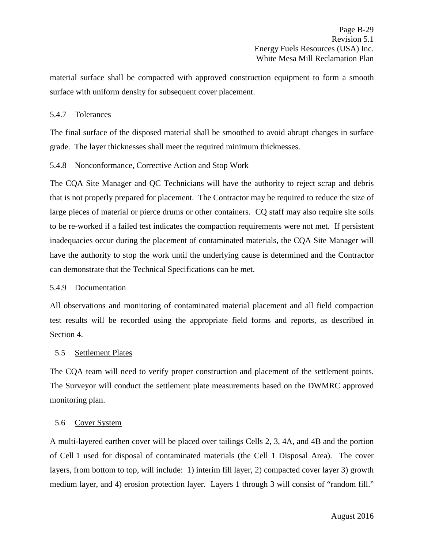material surface shall be compacted with approved construction equipment to form a smooth surface with uniform density for subsequent cover placement.

## <span id="page-31-0"></span>5.4.7 Tolerances

The final surface of the disposed material shall be smoothed to avoid abrupt changes in surface grade. The layer thicknesses shall meet the required minimum thicknesses.

## <span id="page-31-1"></span>5.4.8 Nonconformance, Corrective Action and Stop Work

The CQA Site Manager and QC Technicians will have the authority to reject scrap and debris that is not properly prepared for placement. The Contractor may be required to reduce the size of large pieces of material or pierce drums or other containers. CQ staff may also require site soils to be re-worked if a failed test indicates the compaction requirements were not met. If persistent inadequacies occur during the placement of contaminated materials, the CQA Site Manager will have the authority to stop the work until the underlying cause is determined and the Contractor can demonstrate that the Technical Specifications can be met.

#### <span id="page-31-2"></span>5.4.9 Documentation

All observations and monitoring of contaminated material placement and all field compaction test results will be recorded using the appropriate field forms and reports, as described in Section 4.

#### <span id="page-31-3"></span>5.5 Settlement Plates

The CQA team will need to verify proper construction and placement of the settlement points. The Surveyor will conduct the settlement plate measurements based on the DWMRC approved monitoring plan.

#### <span id="page-31-4"></span>5.6 Cover System

A multi-layered earthen cover will be placed over tailings Cells 2, 3, 4A, and 4B and the portion of Cell 1 used for disposal of contaminated materials (the Cell 1 Disposal Area). The cover layers, from bottom to top, will include: 1) interim fill layer, 2) compacted cover layer 3) growth medium layer, and 4) erosion protection layer. Layers 1 through 3 will consist of "random fill."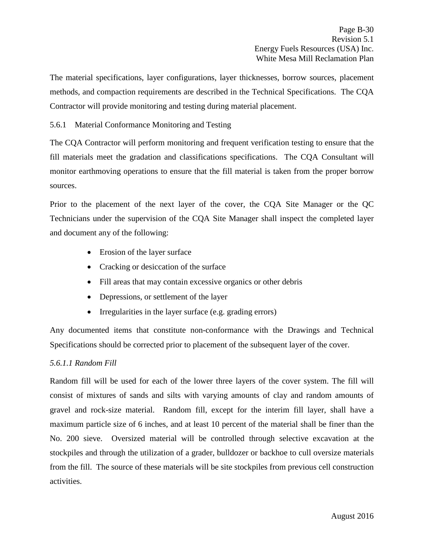The material specifications, layer configurations, layer thicknesses, borrow sources, placement methods, and compaction requirements are described in the Technical Specifications. The CQA Contractor will provide monitoring and testing during material placement.

<span id="page-32-0"></span>5.6.1 Material Conformance Monitoring and Testing

The CQA Contractor will perform monitoring and frequent verification testing to ensure that the fill materials meet the gradation and classifications specifications. The CQA Consultant will monitor earthmoving operations to ensure that the fill material is taken from the proper borrow sources.

Prior to the placement of the next layer of the cover, the CQA Site Manager or the QC Technicians under the supervision of the CQA Site Manager shall inspect the completed layer and document any of the following:

- Erosion of the layer surface
- Cracking or desiccation of the surface
- Fill areas that may contain excessive organics or other debris
- Depressions, or settlement of the layer
- Irregularities in the layer surface (e.g. grading errors)

Any documented items that constitute non-conformance with the Drawings and Technical Specifications should be corrected prior to placement of the subsequent layer of the cover.

## *5.6.1.1 Random Fill*

Random fill will be used for each of the lower three layers of the cover system. The fill will consist of mixtures of sands and silts with varying amounts of clay and random amounts of gravel and rock-size material. Random fill, except for the interim fill layer, shall have a maximum particle size of 6 inches, and at least 10 percent of the material shall be finer than the No. 200 sieve. Oversized material will be controlled through selective excavation at the stockpiles and through the utilization of a grader, bulldozer or backhoe to cull oversize materials from the fill. The source of these materials will be site stockpiles from previous cell construction activities.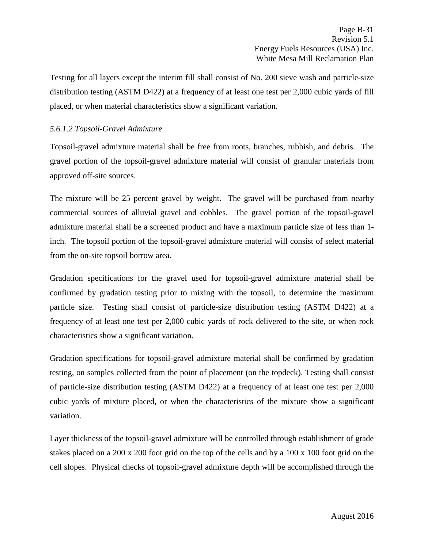Testing for all layers except the interim fill shall consist of No. 200 sieve wash and particle-size distribution testing (ASTM D422) at a frequency of at least one test per 2,000 cubic yards of fill placed, or when material characteristics show a significant variation.

## *5.6.1.2 Topsoil-Gravel Admixture*

Topsoil-gravel admixture material shall be free from roots, branches, rubbish, and debris. The gravel portion of the topsoil-gravel admixture material will consist of granular materials from approved off-site sources.

The mixture will be 25 percent gravel by weight. The gravel will be purchased from nearby commercial sources of alluvial gravel and cobbles. The gravel portion of the topsoil-gravel admixture material shall be a screened product and have a maximum particle size of less than 1 inch. The topsoil portion of the topsoil-gravel admixture material will consist of select material from the on-site topsoil borrow area.

Gradation specifications for the gravel used for topsoil-gravel admixture material shall be confirmed by gradation testing prior to mixing with the topsoil, to determine the maximum particle size. Testing shall consist of particle-size distribution testing (ASTM D422) at a frequency of at least one test per 2,000 cubic yards of rock delivered to the site, or when rock characteristics show a significant variation.

Gradation specifications for topsoil-gravel admixture material shall be confirmed by gradation testing, on samples collected from the point of placement (on the topdeck). Testing shall consist of particle-size distribution testing (ASTM D422) at a frequency of at least one test per 2,000 cubic yards of mixture placed, or when the characteristics of the mixture show a significant variation.

Layer thickness of the topsoil-gravel admixture will be controlled through establishment of grade stakes placed on a 200 x 200 foot grid on the top of the cells and by a 100 x 100 foot grid on the cell slopes. Physical checks of topsoil-gravel admixture depth will be accomplished through the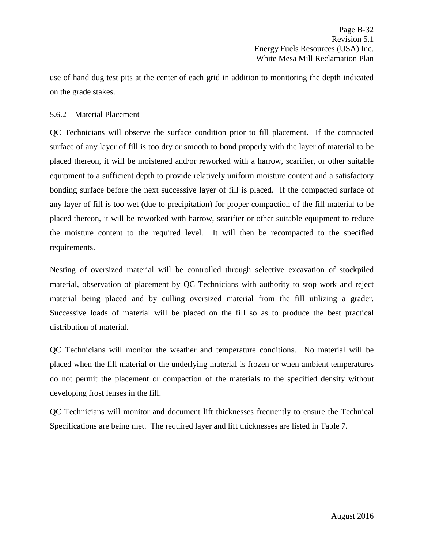use of hand dug test pits at the center of each grid in addition to monitoring the depth indicated on the grade stakes.

## <span id="page-34-0"></span>5.6.2 Material Placement

QC Technicians will observe the surface condition prior to fill placement. If the compacted surface of any layer of fill is too dry or smooth to bond properly with the layer of material to be placed thereon, it will be moistened and/or reworked with a harrow, scarifier, or other suitable equipment to a sufficient depth to provide relatively uniform moisture content and a satisfactory bonding surface before the next successive layer of fill is placed. If the compacted surface of any layer of fill is too wet (due to precipitation) for proper compaction of the fill material to be placed thereon, it will be reworked with harrow, scarifier or other suitable equipment to reduce the moisture content to the required level. It will then be recompacted to the specified requirements.

Nesting of oversized material will be controlled through selective excavation of stockpiled material, observation of placement by QC Technicians with authority to stop work and reject material being placed and by culling oversized material from the fill utilizing a grader. Successive loads of material will be placed on the fill so as to produce the best practical distribution of material.

QC Technicians will monitor the weather and temperature conditions. No material will be placed when the fill material or the underlying material is frozen or when ambient temperatures do not permit the placement or compaction of the materials to the specified density without developing frost lenses in the fill.

QC Technicians will monitor and document lift thicknesses frequently to ensure the Technical Specifications are being met. The required layer and lift thicknesses are listed in Table 7.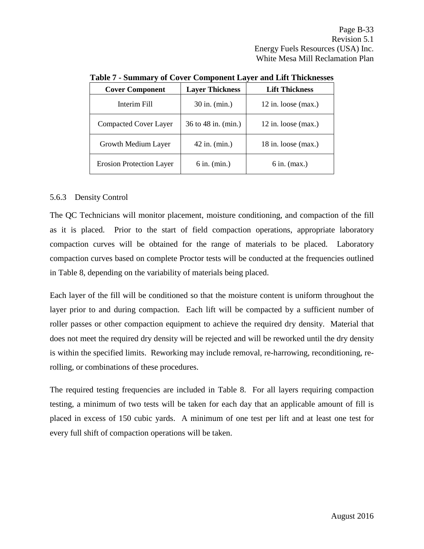| <b>Cover Component</b>          | <b>Layer Thickness</b> | <b>Lift Thickness</b> |
|---------------------------------|------------------------|-----------------------|
| Interim Fill                    | 30 in. (min.)          | $12$ in. loose (max.) |
| <b>Compacted Cover Layer</b>    | 36 to 48 in. (min.)    | $12$ in. loose (max.) |
| Growth Medium Layer             | $42$ in. (min.)        | $18$ in. loose (max.) |
| <b>Erosion Protection Layer</b> | $6$ in. (min.)         | $6$ in. (max.)        |

**Table 7 - Summary of Cover Component Layer and Lift Thicknesses**

## <span id="page-35-0"></span>5.6.3 Density Control

The QC Technicians will monitor placement, moisture conditioning, and compaction of the fill as it is placed. Prior to the start of field compaction operations, appropriate laboratory compaction curves will be obtained for the range of materials to be placed. Laboratory compaction curves based on complete Proctor tests will be conducted at the frequencies outlined in Table 8, depending on the variability of materials being placed.

Each layer of the fill will be conditioned so that the moisture content is uniform throughout the layer prior to and during compaction. Each lift will be compacted by a sufficient number of roller passes or other compaction equipment to achieve the required dry density. Material that does not meet the required dry density will be rejected and will be reworked until the dry density is within the specified limits. Reworking may include removal, re-harrowing, reconditioning, rerolling, or combinations of these procedures.

The required testing frequencies are included in Table 8. For all layers requiring compaction testing, a minimum of two tests will be taken for each day that an applicable amount of fill is placed in excess of 150 cubic yards. A minimum of one test per lift and at least one test for every full shift of compaction operations will be taken.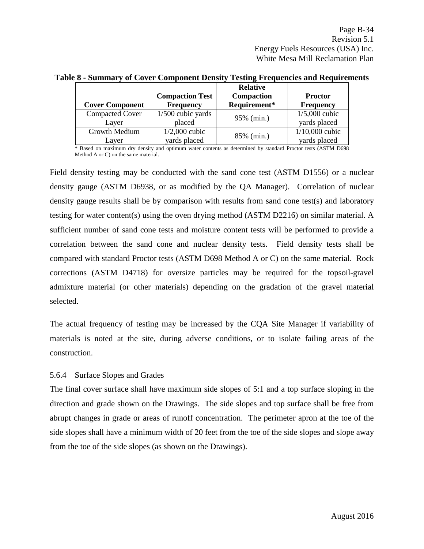|                        |                        | <b>Relative</b> |                  |
|------------------------|------------------------|-----------------|------------------|
|                        | <b>Compaction Test</b> | Compaction      | <b>Proctor</b>   |
| <b>Cover Component</b> | <b>Frequency</b>       | Requirement*    | <b>Frequency</b> |
| <b>Compacted Cover</b> | $1/500$ cubic yards    | 95% (min.)      | $1/5,000$ cubic  |
| Laver                  | placed                 |                 | yards placed     |
| Growth Medium          | $1/2,000$ cubic        |                 | $1/10,000$ cubic |
| Layer                  | vards placed           | 85% (min.)      | vards placed     |

## **Table 8 - Summary of Cover Component Density Testing Frequencies and Requirements**

\* Based on maximum dry density and optimum water contents as determined by standard Proctor tests (ASTM D698 Method A or C) on the same material.

Field density testing may be conducted with the sand cone test (ASTM D1556) or a nuclear density gauge (ASTM D6938, or as modified by the QA Manager). Correlation of nuclear density gauge results shall be by comparison with results from sand cone test(s) and laboratory testing for water content(s) using the oven drying method (ASTM D2216) on similar material. A sufficient number of sand cone tests and moisture content tests will be performed to provide a correlation between the sand cone and nuclear density tests. Field density tests shall be compared with standard Proctor tests (ASTM D698 Method A or C) on the same material. Rock corrections (ASTM D4718) for oversize particles may be required for the topsoil-gravel admixture material (or other materials) depending on the gradation of the gravel material selected.

The actual frequency of testing may be increased by the CQA Site Manager if variability of materials is noted at the site, during adverse conditions, or to isolate failing areas of the construction.

#### <span id="page-36-0"></span>5.6.4 Surface Slopes and Grades

The final cover surface shall have maximum side slopes of 5:1 and a top surface sloping in the direction and grade shown on the Drawings. The side slopes and top surface shall be free from abrupt changes in grade or areas of runoff concentration. The perimeter apron at the toe of the side slopes shall have a minimum width of 20 feet from the toe of the side slopes and slope away from the toe of the side slopes (as shown on the Drawings).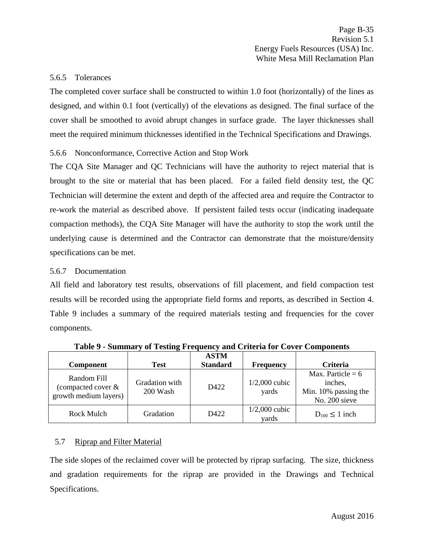#### <span id="page-37-0"></span>5.6.5 Tolerances

The completed cover surface shall be constructed to within 1.0 foot (horizontally) of the lines as designed, and within 0.1 foot (vertically) of the elevations as designed. The final surface of the cover shall be smoothed to avoid abrupt changes in surface grade. The layer thicknesses shall meet the required minimum thicknesses identified in the Technical Specifications and Drawings.

## <span id="page-37-1"></span>5.6.6 Nonconformance, Corrective Action and Stop Work

The CQA Site Manager and QC Technicians will have the authority to reject material that is brought to the site or material that has been placed. For a failed field density test, the QC Technician will determine the extent and depth of the affected area and require the Contractor to re-work the material as described above. If persistent failed tests occur (indicating inadequate compaction methods), the CQA Site Manager will have the authority to stop the work until the underlying cause is determined and the Contractor can demonstrate that the moisture/density specifications can be met.

#### <span id="page-37-2"></span>5.6.7 Documentation

All field and laboratory test results, observations of fill placement, and field compaction test results will be recorded using the appropriate field forms and reports, as described in Section 4. Table 9 includes a summary of the required materials testing and frequencies for the cover components.

| <b>Component</b>                                           | <b>Test</b>                | <b>ASTM</b><br><b>Standard</b> | <b>Frequency</b>         | <b>Criteria</b>                                                         |
|------------------------------------------------------------|----------------------------|--------------------------------|--------------------------|-------------------------------------------------------------------------|
| Random Fill<br>(compacted cover &<br>growth medium layers) | Gradation with<br>200 Wash | D422                           | $1/2,000$ cubic<br>yards | Max. Particle = $6$<br>inches,<br>Min. 10% passing the<br>No. 200 sieve |
| Rock Mulch                                                 | Gradation                  | D422                           | $1/2,000$ cubic<br>yards | $D_{100} \leq 1$ inch                                                   |

**Table 9 - Summary of Testing Frequency and Criteria for Cover Components**

#### <span id="page-37-3"></span>5.7 Riprap and Filter Material

The side slopes of the reclaimed cover will be protected by riprap surfacing. The size, thickness and gradation requirements for the riprap are provided in the Drawings and Technical Specifications.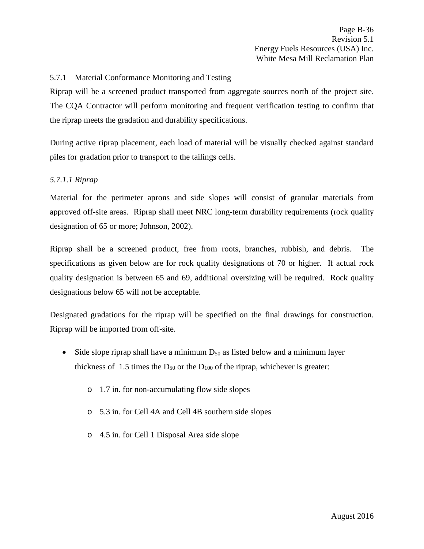## <span id="page-38-0"></span>5.7.1 Material Conformance Monitoring and Testing

Riprap will be a screened product transported from aggregate sources north of the project site. The CQA Contractor will perform monitoring and frequent verification testing to confirm that the riprap meets the gradation and durability specifications.

During active riprap placement, each load of material will be visually checked against standard piles for gradation prior to transport to the tailings cells.

## *5.7.1.1 Riprap*

Material for the perimeter aprons and side slopes will consist of granular materials from approved off-site areas. Riprap shall meet NRC long-term durability requirements (rock quality designation of 65 or more; Johnson, 2002).

Riprap shall be a screened product, free from roots, branches, rubbish, and debris. The specifications as given below are for rock quality designations of 70 or higher. If actual rock quality designation is between 65 and 69, additional oversizing will be required. Rock quality designations below 65 will not be acceptable.

Designated gradations for the riprap will be specified on the final drawings for construction. Riprap will be imported from off-site.

- Side slope riprap shall have a minimum  $D_{50}$  as listed below and a minimum layer thickness of 1.5 times the  $D_{50}$  or the  $D_{100}$  of the riprap, whichever is greater:
	- o 1.7 in. for non-accumulating flow side slopes
	- o 5.3 in. for Cell 4A and Cell 4B southern side slopes
	- o 4.5 in. for Cell 1 Disposal Area side slope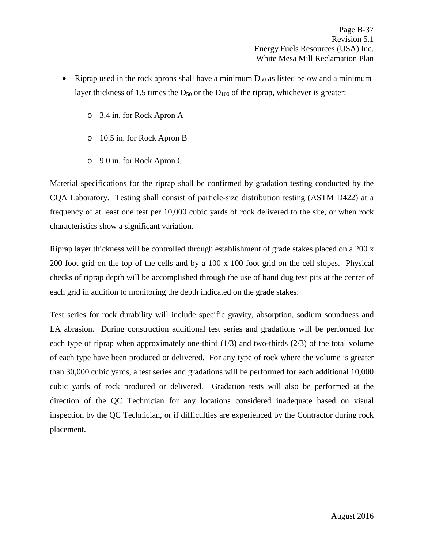- Riprap used in the rock aprons shall have a minimum  $D_{50}$  as listed below and a minimum layer thickness of 1.5 times the  $D_{50}$  or the  $D_{100}$  of the riprap, whichever is greater:
	- o 3.4 in. for Rock Apron A
	- o 10.5 in. for Rock Apron B
	- o 9.0 in. for Rock Apron C

Material specifications for the riprap shall be confirmed by gradation testing conducted by the CQA Laboratory. Testing shall consist of particle-size distribution testing (ASTM D422) at a frequency of at least one test per 10,000 cubic yards of rock delivered to the site, or when rock characteristics show a significant variation.

Riprap layer thickness will be controlled through establishment of grade stakes placed on a 200 x 200 foot grid on the top of the cells and by a 100 x 100 foot grid on the cell slopes. Physical checks of riprap depth will be accomplished through the use of hand dug test pits at the center of each grid in addition to monitoring the depth indicated on the grade stakes.

Test series for rock durability will include specific gravity, absorption, sodium soundness and LA abrasion. During construction additional test series and gradations will be performed for each type of riprap when approximately one-third  $(1/3)$  and two-thirds  $(2/3)$  of the total volume of each type have been produced or delivered. For any type of rock where the volume is greater than 30,000 cubic yards, a test series and gradations will be performed for each additional 10,000 cubic yards of rock produced or delivered. Gradation tests will also be performed at the direction of the QC Technician for any locations considered inadequate based on visual inspection by the QC Technician, or if difficulties are experienced by the Contractor during rock placement.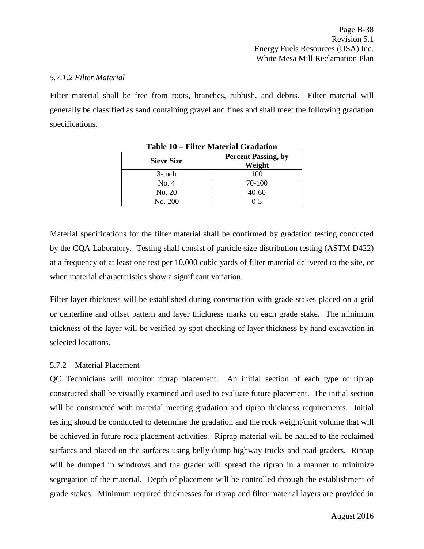#### *5.7.1.2 Filter Material*

Filter material shall be free from roots, branches, rubbish, and debris. Filter material will generally be classified as sand containing gravel and fines and shall meet the following gradation specifications.

| <b>Sieve Size</b> | <b>Percent Passing, by</b><br>Weight |
|-------------------|--------------------------------------|
| $3$ -inch         | 100                                  |
| No. 4             | 70-100                               |
| No. 20            | $40 - 60$                            |
| No. 200           | $0 - 5$                              |

Material specifications for the filter material shall be confirmed by gradation testing conducted by the CQA Laboratory. Testing shall consist of particle-size distribution testing (ASTM D422) at a frequency of at least one test per 10,000 cubic yards of filter material delivered to the site, or when material characteristics show a significant variation.

Filter layer thickness will be established during construction with grade stakes placed on a grid or centerline and offset pattern and layer thickness marks on each grade stake. The minimum thickness of the layer will be verified by spot checking of layer thickness by hand excavation in selected locations.

#### <span id="page-40-0"></span>5.7.2 Material Placement

QC Technicians will monitor riprap placement. An initial section of each type of riprap constructed shall be visually examined and used to evaluate future placement. The initial section will be constructed with material meeting gradation and riprap thickness requirements. Initial testing should be conducted to determine the gradation and the rock weight/unit volume that will be achieved in future rock placement activities. Riprap material will be hauled to the reclaimed surfaces and placed on the surfaces using belly dump highway trucks and road graders. Riprap will be dumped in windrows and the grader will spread the riprap in a manner to minimize segregation of the material. Depth of placement will be controlled through the establishment of grade stakes. Minimum required thicknesses for riprap and filter material layers are provided in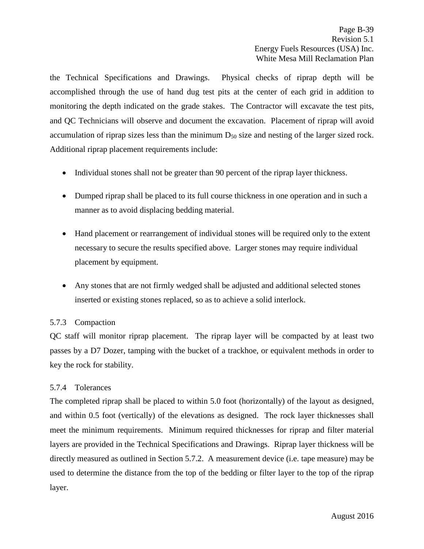the Technical Specifications and Drawings. Physical checks of riprap depth will be accomplished through the use of hand dug test pits at the center of each grid in addition to monitoring the depth indicated on the grade stakes. The Contractor will excavate the test pits, and QC Technicians will observe and document the excavation. Placement of riprap will avoid accumulation of riprap sizes less than the minimum  $D_{50}$  size and nesting of the larger sized rock. Additional riprap placement requirements include:

- Individual stones shall not be greater than 90 percent of the riprap layer thickness.
- Dumped riprap shall be placed to its full course thickness in one operation and in such a manner as to avoid displacing bedding material.
- Hand placement or rearrangement of individual stones will be required only to the extent necessary to secure the results specified above. Larger stones may require individual placement by equipment.
- Any stones that are not firmly wedged shall be adjusted and additional selected stones inserted or existing stones replaced, so as to achieve a solid interlock.

## <span id="page-41-0"></span>5.7.3 Compaction

QC staff will monitor riprap placement. The riprap layer will be compacted by at least two passes by a D7 Dozer, tamping with the bucket of a trackhoe, or equivalent methods in order to key the rock for stability.

## <span id="page-41-1"></span>5.7.4 Tolerances

The completed riprap shall be placed to within 5.0 foot (horizontally) of the layout as designed, and within 0.5 foot (vertically) of the elevations as designed. The rock layer thicknesses shall meet the minimum requirements. Minimum required thicknesses for riprap and filter material layers are provided in the Technical Specifications and Drawings. Riprap layer thickness will be directly measured as outlined in Section 5.7.2. A measurement device (i.e. tape measure) may be used to determine the distance from the top of the bedding or filter layer to the top of the riprap layer.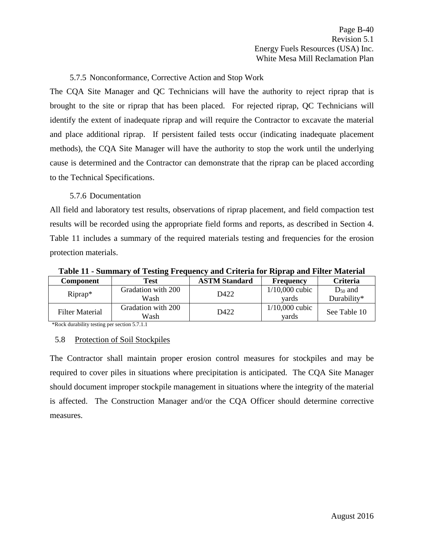## 5.7.5 Nonconformance, Corrective Action and Stop Work

<span id="page-42-0"></span>The CQA Site Manager and QC Technicians will have the authority to reject riprap that is brought to the site or riprap that has been placed. For rejected riprap, QC Technicians will identify the extent of inadequate riprap and will require the Contractor to excavate the material and place additional riprap. If persistent failed tests occur (indicating inadequate placement methods), the CQA Site Manager will have the authority to stop the work until the underlying cause is determined and the Contractor can demonstrate that the riprap can be placed according to the Technical Specifications.

#### 5.7.6 Documentation

<span id="page-42-1"></span>All field and laboratory test results, observations of riprap placement, and field compaction test results will be recorded using the appropriate field forms and reports, as described in Section 4. Table 11 includes a summary of the required materials testing and frequencies for the erosion protection materials.

| Table 11 - Summary of Testing Frequency and Criteria for Riprap and Filter Material |  |  |
|-------------------------------------------------------------------------------------|--|--|
|                                                                                     |  |  |

| Component                                                                     | Test                       | <b>ASTM Standard</b> | <b>Frequency</b>          | <b>Criteria</b> |
|-------------------------------------------------------------------------------|----------------------------|----------------------|---------------------------|-----------------|
|                                                                               | Gradation with 200         | D422                 | $1/10,000$ cubic          | $D_{50}$ and    |
| $Riprap*$                                                                     | Wash                       |                      | vards                     | Durability*     |
| Filter Material                                                               | Gradation with 200<br>Wash | D422                 | $1/10,000$ cubic<br>vards | See Table 10    |
| $\ast$ D and a decouple $(1)$ and a continuous constant $\epsilon$ = 7.1.1.1. |                            |                      |                           |                 |

\*Rock durability testing per section 5.7.1.1

#### <span id="page-42-2"></span>5.8 Protection of Soil Stockpiles

The Contractor shall maintain proper erosion control measures for stockpiles and may be required to cover piles in situations where precipitation is anticipated. The CQA Site Manager should document improper stockpile management in situations where the integrity of the material is affected. The Construction Manager and/or the CQA Officer should determine corrective measures.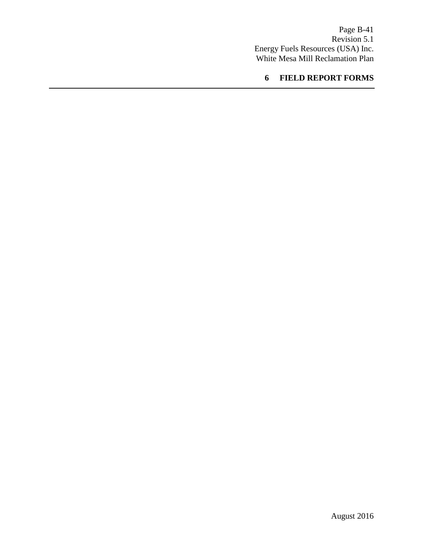<span id="page-43-0"></span>Page B-41 Revision 5.1 Energy Fuels Resources (USA) Inc. White Mesa Mill Reclamation Plan

# **6 FIELD REPORT FORMS**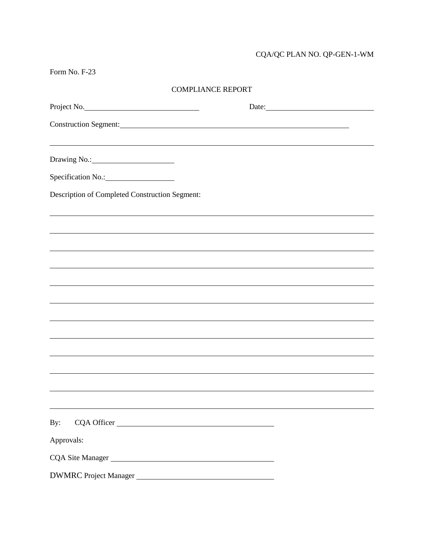# CQA/QC PLAN NO. QP-GEN-1-WM

Form No. F-23

| <b>COMPLIANCE REPORT</b> |
|--------------------------|
|--------------------------|

| Project No.                                                | Date: |
|------------------------------------------------------------|-------|
| Construction Segment: New York Construction Segment:       |       |
| <u> 1989 - Johann Stoff, amerikansk politiker (* 1908)</u> |       |
|                                                            |       |
|                                                            |       |
| Description of Completed Construction Segment:             |       |
|                                                            |       |
|                                                            |       |
|                                                            |       |
|                                                            |       |
|                                                            |       |
|                                                            |       |
|                                                            |       |
|                                                            |       |
|                                                            |       |
|                                                            |       |
|                                                            |       |
| By:                                                        |       |
| Approvals:                                                 |       |
| CQA Site Manager                                           |       |
| DWMRC Project Manager                                      |       |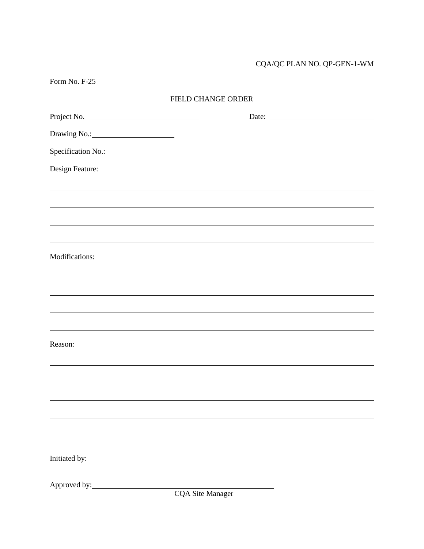# CQA/QC PLAN NO. QP-GEN-1-WM

| <b>FIELD CHANGE ORDER</b> |                                                                                  |
|---------------------------|----------------------------------------------------------------------------------|
| Project No.               |                                                                                  |
|                           |                                                                                  |
|                           |                                                                                  |
|                           |                                                                                  |
|                           |                                                                                  |
|                           | ,我们也不会有什么。""我们的人,我们也不会有什么?""我们的人,我们也不会有什么?""我们的人,我们也不会有什么?""我们的人,我们也不会有什么?""我们的人 |
|                           |                                                                                  |
|                           | ,我们也不会有什么。""我们的人,我们也不会有什么?""我们的人,我们也不会有什么?""我们的人,我们也不会有什么?""我们的人,我们也不会有什么?""我们的人 |
|                           |                                                                                  |
|                           |                                                                                  |
|                           |                                                                                  |
|                           | ,我们也不会有什么?""我们的人,我们也不会有什么?""我们的人,我们也不会有什么?""我们的人,我们也不会有什么?""我们的人,我们也不会有什么?""我们的人 |
|                           |                                                                                  |
|                           |                                                                                  |
|                           |                                                                                  |
|                           |                                                                                  |
|                           |                                                                                  |
|                           |                                                                                  |
|                           |                                                                                  |
|                           |                                                                                  |
|                           |                                                                                  |
| <b>CQA Site Manager</b>   |                                                                                  |
|                           |                                                                                  |